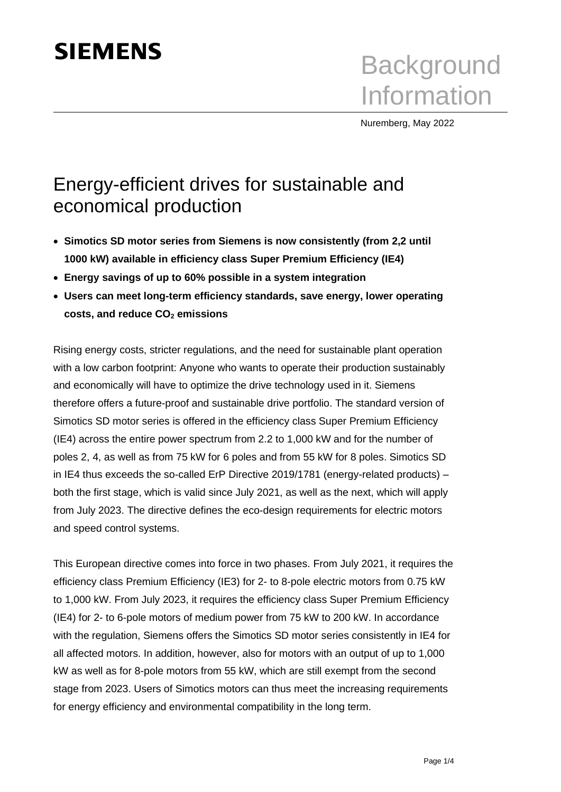# **SIEMENS**

**Background** Information

Nuremberg, May 2022

## Energy-efficient drives for sustainable and economical production

- **Simotics SD motor series from Siemens is now consistently (from 2,2 until 1000 kW) available in efficiency class Super Premium Efficiency (IE4)**
- **Energy savings of up to 60% possible in a system integration**
- **Users can meet long-term efficiency standards, save energy, lower operating costs, and reduce CO<sup>2</sup> emissions**

Rising energy costs, stricter regulations, and the need for sustainable plant operation with a low carbon footprint: Anyone who wants to operate their production sustainably and economically will have to optimize the drive technology used in it. Siemens therefore offers a future-proof and sustainable drive portfolio. The standard version of Simotics SD motor series is offered in the efficiency class Super Premium Efficiency (IE4) across the entire power spectrum from 2.2 to 1,000 kW and for the number of poles 2, 4, as well as from 75 kW for 6 poles and from 55 kW for 8 poles. Simotics SD in IE4 thus exceeds the so-called ErP Directive 2019/1781 (energy-related products) – both the first stage, which is valid since July 2021, as well as the next, which will apply from July 2023. The directive defines the eco-design requirements for electric motors and speed control systems.

This European directive comes into force in two phases. From July 2021, it requires the efficiency class Premium Efficiency (IE3) for 2- to 8-pole electric motors from 0.75 kW to 1,000 kW. From July 2023, it requires the efficiency class Super Premium Efficiency (IE4) for 2- to 6-pole motors of medium power from 75 kW to 200 kW. In accordance with the regulation, Siemens offers the Simotics SD motor series consistently in IE4 for all affected motors. In addition, however, also for motors with an output of up to 1,000 kW as well as for 8-pole motors from 55 kW, which are still exempt from the second stage from 2023. Users of Simotics motors can thus meet the increasing requirements for energy efficiency and environmental compatibility in the long term.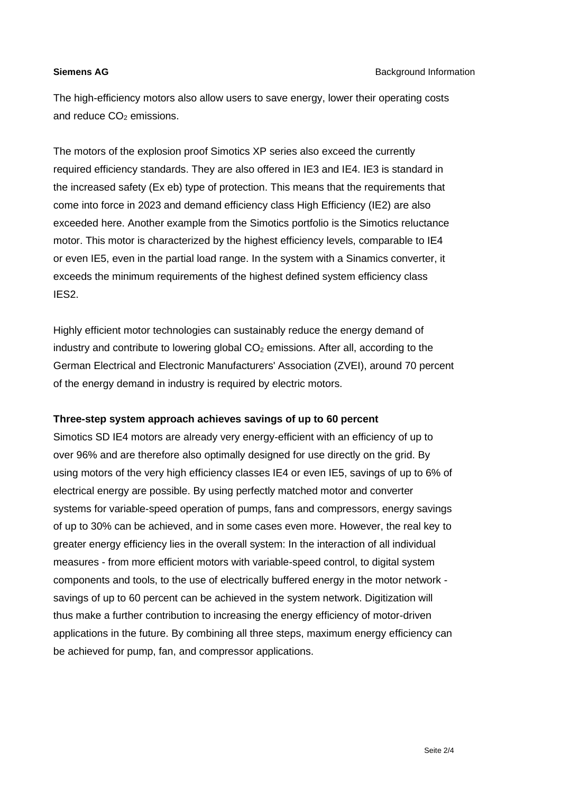The high-efficiency motors also allow users to save energy, lower their operating costs and reduce  $CO<sub>2</sub>$  emissions.

The motors of the explosion proof Simotics XP series also exceed the currently required efficiency standards. They are also offered in IE3 and IE4. IE3 is standard in the increased safety (Ex eb) type of protection. This means that the requirements that come into force in 2023 and demand efficiency class High Efficiency (IE2) are also exceeded here. Another example from the Simotics portfolio is the Simotics reluctance motor. This motor is characterized by the highest efficiency levels, comparable to IE4 or even IE5, even in the partial load range. In the system with a Sinamics converter, it exceeds the minimum requirements of the highest defined system efficiency class IES2.

Highly efficient motor technologies can sustainably reduce the energy demand of industry and contribute to lowering global  $CO<sub>2</sub>$  emissions. After all, according to the German Electrical and Electronic Manufacturers' Association (ZVEI), around 70 percent of the energy demand in industry is required by electric motors.

### **Three-step system approach achieves savings of up to 60 percent**

Simotics SD IE4 motors are already very energy-efficient with an efficiency of up to over 96% and are therefore also optimally designed for use directly on the grid. By using motors of the very high efficiency classes IE4 or even IE5, savings of up to 6% of electrical energy are possible. By using perfectly matched motor and converter systems for variable-speed operation of pumps, fans and compressors, energy savings of up to 30% can be achieved, and in some cases even more. However, the real key to greater energy efficiency lies in the overall system: In the interaction of all individual measures - from more efficient motors with variable-speed control, to digital system components and tools, to the use of electrically buffered energy in the motor network savings of up to 60 percent can be achieved in the system network. Digitization will thus make a further contribution to increasing the energy efficiency of motor-driven applications in the future. By combining all three steps, maximum energy efficiency can be achieved for pump, fan, and compressor applications.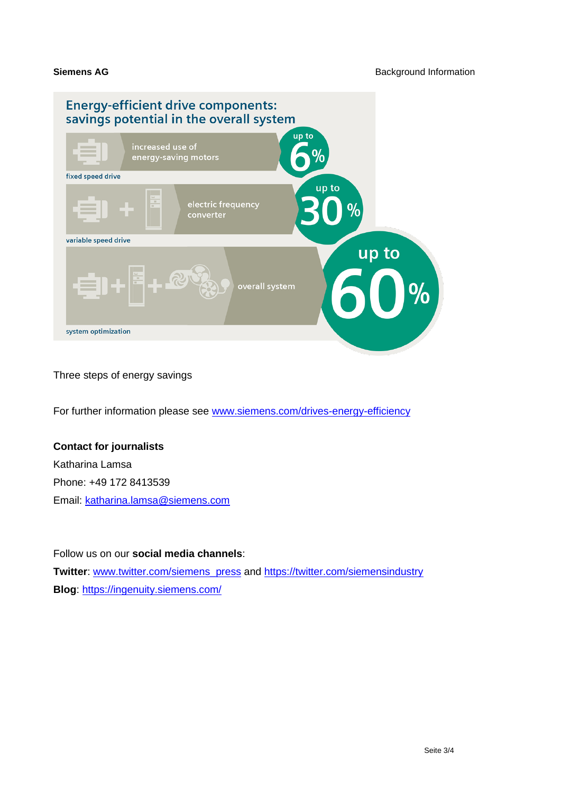

Three steps of energy savings

For further information please see [www.siemens.com/drives-energy-efficiency](http://www.siemens.com/drives-energy-efficiency)

### **Contact for journalists**

Katharina Lamsa Phone: +49 172 8413539 Email: [katharina.lamsa@siemens.com](mailto:katharina.lamsa@siemens.com)

Follow us on our **social media channels**:

**Twitter**: [www.twitter.com/siemens\\_press](http://www.twitter.com/siemens_press) and<https://twitter.com/siemensindustry> **Blog**:<https://ingenuity.siemens.com/>